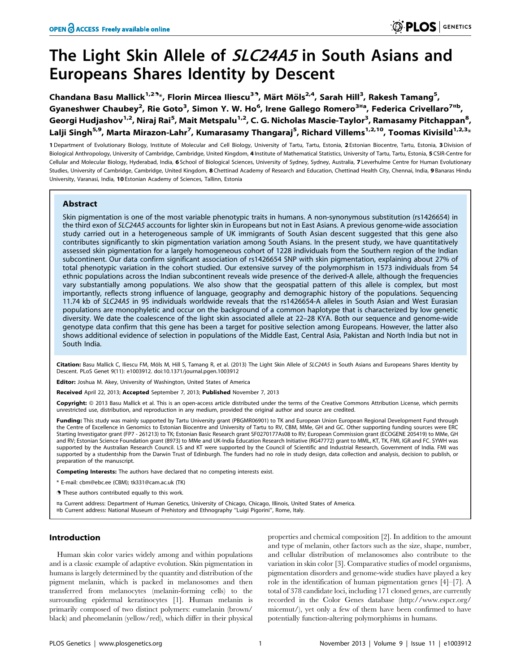# The Light Skin Allele of *SLC24A5* in South Asians and Europeans Shares Identity by Descent

Chandana Basu Mallick<sup>1,29</sup>\*, Florin Mircea Iliescu<sup>39</sup>, Märt Möls<sup>2,4</sup>, Sarah Hill<sup>3</sup>, Rakesh Tamang<sup>5</sup>, Gyaneshwer Chaubey<sup>2</sup>, Rie Goto<sup>3</sup>, Simon Y. W. Ho<sup>6</sup>, Irene Gallego Romero<sup>3¤a</sup>, Federica Crivellaro<sup>7¤b</sup>, Georgi Hudjashov<sup>1,2</sup>, Niraj Rai<sup>5</sup>, Mait Metspalu<sup>1,2</sup>, C. G. Nicholas Mascie-Taylor<sup>3</sup>, Ramasamy Pitchappan<sup>8</sup>, Lalji Singh<sup>5,9</sup>, Marta Mirazon-Lahr<sup>7</sup>, Kumarasamy Thangaraj<sup>5</sup>, Richard Villems<sup>1,2,10</sup>, Toomas Kivisild<sup>1,2,3</sup>\*

1 Department of Evolutionary Biology, Institute of Molecular and Cell Biology, University of Tartu, Tartu, Estonia, 2 Estonian Biocentre, Tartu, Estonia, 3 Division of Biological Anthropology, University of Cambridge, Cambridge, United Kingdom, 4 Institute of Mathematical Statistics, University of Tartu, Tartu, Estonia, 5 CSIR-Centre for Cellular and Molecular Biology, Hyderabad, India, 6 School of Biological Sciences, University of Sydney, Sydney, Australia, 7 Leverhulme Centre for Human Evolutionary Studies, University of Cambridge, Cambridge, United Kingdom, 8 Chettinad Academy of Research and Education, Chettinad Health City, Chennai, India, 9 Banaras Hindu University, Varanasi, India, 10 Estonian Academy of Sciences, Tallinn, Estonia

# Abstract

Skin pigmentation is one of the most variable phenotypic traits in humans. A non-synonymous substitution (rs1426654) in the third exon of SLC24A5 accounts for lighter skin in Europeans but not in East Asians. A previous genome-wide association study carried out in a heterogeneous sample of UK immigrants of South Asian descent suggested that this gene also contributes significantly to skin pigmentation variation among South Asians. In the present study, we have quantitatively assessed skin pigmentation for a largely homogeneous cohort of 1228 individuals from the Southern region of the Indian subcontinent. Our data confirm significant association of rs1426654 SNP with skin pigmentation, explaining about 27% of total phenotypic variation in the cohort studied. Our extensive survey of the polymorphism in 1573 individuals from 54 ethnic populations across the Indian subcontinent reveals wide presence of the derived-A allele, although the frequencies vary substantially among populations. We also show that the geospatial pattern of this allele is complex, but most importantly, reflects strong influence of language, geography and demographic history of the populations. Sequencing 11.74 kb of SLC24A5 in 95 individuals worldwide reveals that the rs1426654-A alleles in South Asian and West Eurasian populations are monophyletic and occur on the background of a common haplotype that is characterized by low genetic diversity. We date the coalescence of the light skin associated allele at 22–28 KYA. Both our sequence and genome-wide genotype data confirm that this gene has been a target for positive selection among Europeans. However, the latter also shows additional evidence of selection in populations of the Middle East, Central Asia, Pakistan and North India but not in South India.

Citation: Basu Mallick C, Iliescu FM, Möls M, Hill S, Tamang R, et al. (2013) The Light Skin Allele of SLC24A5 in South Asians and Europeans Shares Identity by Descent. PLoS Genet 9(11): e1003912. doi:10.1371/journal.pgen.1003912

Editor: Joshua M. Akey, University of Washington, United States of America

Received April 22, 2013; Accepted September 7, 2013; Published November 7, 2013

Copyright: © 2013 Basu Mallick et al. This is an open-access article distributed under the terms of the Creative Commons Attribution License, which permits unrestricted use, distribution, and reproduction in any medium, provided the original author and source are credited.

Funding: This study was mainly supported by Tartu University grant (PBGMR06901) to TK and European Union European Regional Development Fund through the Centre of Excellence in Genomics to Estonian Biocentre and University of Tartu to RV, CBM, MMe, GH and GC. Other supporting funding sources were ERC Starting Investigator grant (FP7 - 261213) to TK; Estonian Basic Research grant SF0270177As08 to RV; European Commission grant (ECOGENE 205419) to MMe, GH and RV; Estonian Science Foundation grant (8973) to MMe and UK-India Education Research Initiative (RG47772) grant to MML, KT, TK, FMI, IGR and FC. SYWH was supported by the Australian Research Council. LS and KT were supported by the Council of Scientific and Industrial Research, Government of India. FMI was supported by a studentship from the Darwin Trust of Edinburgh. The funders had no role in study design, data collection and analysis, decision to publish, or preparation of the manuscript.

Competing Interests: The authors have declared that no competing interests exist.

\* E-mail: cbm@ebc.ee (CBM); tk331@cam.ac.uk (TK)

**.** These authors contributed equally to this work.

¤a Current address: Department of Human Genetics, University of Chicago, Chicago, Illinois, United States of America. ¤b Current address: National Museum of Prehistory and Ethnography ''Luigi Pigorini'', Rome, Italy.

## Introduction

Human skin color varies widely among and within populations and is a classic example of adaptive evolution. Skin pigmentation in humans is largely determined by the quantity and distribution of the pigment melanin, which is packed in melanosomes and then transferred from melanocytes (melanin-forming cells) to the surrounding epidermal keratinocytes [1]. Human melanin is primarily composed of two distinct polymers: eumelanin (brown/ black) and pheomelanin (yellow/red), which differ in their physical

properties and chemical composition [2]. In addition to the amount and type of melanin, other factors such as the size, shape, number, and cellular distribution of melanosomes also contribute to the variation in skin color [3]. Comparative studies of model organisms, pigmentation disorders and genome-wide studies have played a key role in the identification of human pigmentation genes [4]–[7]. A total of 378 candidate loci, including 171 cloned genes, are currently recorded in the Color Genes database (http://www.espcr.org/ micemut/), yet only a few of them have been confirmed to have potentially function-altering polymorphisms in humans.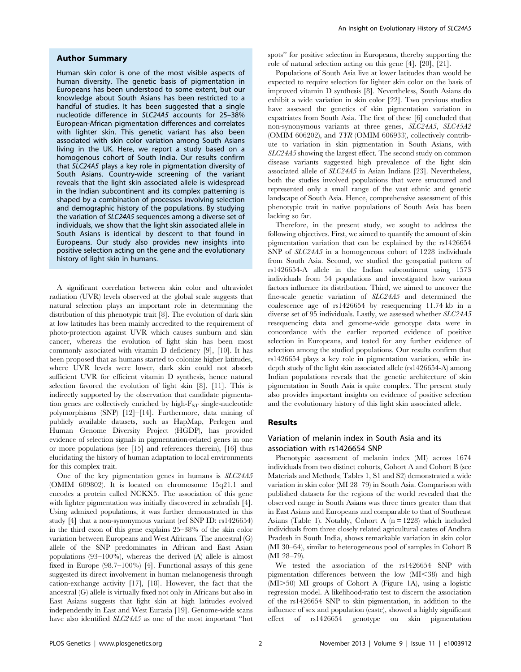#### Author Summary

Human skin color is one of the most visible aspects of human diversity. The genetic basis of pigmentation in Europeans has been understood to some extent, but our knowledge about South Asians has been restricted to a handful of studies. It has been suggested that a single nucleotide difference in SLC24A5 accounts for 25–38% European-African pigmentation differences and correlates with lighter skin. This genetic variant has also been associated with skin color variation among South Asians living in the UK. Here, we report a study based on a homogenous cohort of South India. Our results confirm that SLC24A5 plays a key role in pigmentation diversity of South Asians. Country-wide screening of the variant reveals that the light skin associated allele is widespread in the Indian subcontinent and its complex patterning is shaped by a combination of processes involving selection and demographic history of the populations. By studying the variation of SLC24A5 sequences among a diverse set of individuals, we show that the light skin associated allele in South Asians is identical by descent to that found in Europeans. Our study also provides new insights into positive selection acting on the gene and the evolutionary history of light skin in humans.

A significant correlation between skin color and ultraviolet radiation (UVR) levels observed at the global scale suggests that natural selection plays an important role in determining the distribution of this phenotypic trait [8]. The evolution of dark skin at low latitudes has been mainly accredited to the requirement of photo-protection against UVR which causes sunburn and skin cancer, whereas the evolution of light skin has been most commonly associated with vitamin D deficiency [9], [10]. It has been proposed that as humans started to colonize higher latitudes, where UVR levels were lower, dark skin could not absorb sufficient UVR for efficient vitamin D synthesis, hence natural selection favored the evolution of light skin [8], [11]. This is indirectly supported by the observation that candidate pigmentation genes are collectively enriched by high- $F_{ST}$  single-nucleotide polymorphisms (SNP) [12]–[14]. Furthermore, data mining of publicly available datasets, such as HapMap, Perlegen and Human Genome Diversity Project (HGDP), has provided evidence of selection signals in pigmentation-related genes in one or more populations (see [15] and references therein), [16] thus elucidating the history of human adaptation to local environments for this complex trait.

One of the key pigmentation genes in humans is SLC24A5 (OMIM 609802). It is located on chromosome 15q21.1 and encodes a protein called NCKX5. The association of this gene with lighter pigmentation was initially discovered in zebrafish [4]. Using admixed populations, it was further demonstrated in this study [4] that a non-synonymous variant (ref SNP ID: rs1426654) in the third exon of this gene explains 25–38% of the skin color variation between Europeans and West Africans. The ancestral (G) allele of the SNP predominates in African and East Asian populations (93–100%), whereas the derived (A) allele is almost fixed in Europe (98.7–100%) [4]. Functional assays of this gene suggested its direct involvement in human melanogenesis through cation-exchange activity [17], [18]. However, the fact that the ancestral (G) allele is virtually fixed not only in Africans but also in East Asians suggests that light skin at high latitudes evolved independently in East and West Eurasia [19]. Genome-wide scans have also identified SLC24A5 as one of the most important ''hot spots'' for positive selection in Europeans, thereby supporting the role of natural selection acting on this gene [4], [20], [21].

Populations of South Asia live at lower latitudes than would be expected to require selection for lighter skin color on the basis of improved vitamin D synthesis [8]. Nevertheless, South Asians do exhibit a wide variation in skin color [22]. Two previous studies have assessed the genetics of skin pigmentation variation in expatriates from South Asia. The first of these [6] concluded that non-synonymous variants at three genes, SLC24A5, SLC45A2 (OMIM 606202), and TYR (OMIM 606933), collectively contribute to variation in skin pigmentation in South Asians, with SLC24A5 showing the largest effect. The second study on common disease variants suggested high prevalence of the light skin associated allele of SLC24A5 in Asian Indians [23]. Nevertheless, both the studies involved populations that were structured and represented only a small range of the vast ethnic and genetic landscape of South Asia. Hence, comprehensive assessment of this phenotypic trait in native populations of South Asia has been lacking so far.

Therefore, in the present study, we sought to address the following objectives. First, we aimed to quantify the amount of skin pigmentation variation that can be explained by the rs1426654 SNP of SLC24A5 in a homogeneous cohort of 1228 individuals from South Asia. Second, we studied the geospatial pattern of rs1426654-A allele in the Indian subcontinent using 1573 individuals from 54 populations and investigated how various factors influence its distribution. Third, we aimed to uncover the fine-scale genetic variation of SLC24A5 and determined the coalescence age of rs1426654 by resequencing 11.74 kb in a diverse set of 95 individuals. Lastly, we assessed whether SLC24A5 resequencing data and genome-wide genotype data were in concordance with the earlier reported evidence of positive selection in Europeans, and tested for any further evidence of selection among the studied populations. Our results confirm that rs1426654 plays a key role in pigmentation variation, while indepth study of the light skin associated allele (rs1426654-A) among Indian populations reveals that the genetic architecture of skin pigmentation in South Asia is quite complex. The present study also provides important insights on evidence of positive selection and the evolutionary history of this light skin associated allele.

## Results

## Variation of melanin index in South Asia and its association with rs1426654 SNP

Phenotypic assessment of melanin index (MI) across 1674 individuals from two distinct cohorts, Cohort A and Cohort B (see Materials and Methods; Tables 1, S1 and S2) demonstrated a wide variation in skin color (MI 28–79) in South Asia. Comparison with published datasets for the regions of the world revealed that the observed range in South Asians was three times greater than that in East Asians and Europeans and comparable to that of Southeast Asians (Table 1). Notably, Cohort A  $(n = 1228)$  which included individuals from three closely related agricultural castes of Andhra Pradesh in South India, shows remarkable variation in skin color (MI 30–64), similar to heterogeneous pool of samples in Cohort B (MI 28–79).

We tested the association of the rs1426654 SNP with pigmentation differences between the low  $(MI<38)$  and high  $(MI>50)$  MI groups of Cohort A (Figure 1A), using a logistic regression model. A likelihood-ratio test to discern the association of the rs1426654 SNP to skin pigmentation, in addition to the influence of sex and population (caste), showed a highly significant effect of rs1426654 genotype on skin pigmentation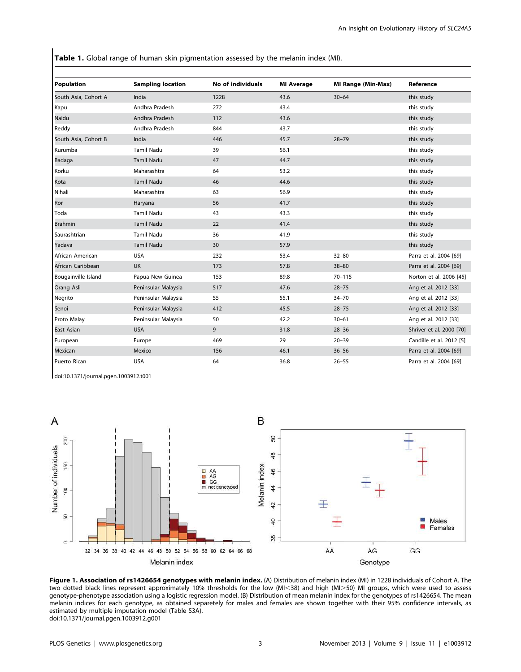Table 1. Global range of human skin pigmentation assessed by the melanin index (MI).

| <b>Population</b>    | <b>Sampling location</b> | No of individuals | <b>MI Average</b> | <b>MI Range (Min-Max)</b> | Reference                |
|----------------------|--------------------------|-------------------|-------------------|---------------------------|--------------------------|
| South Asia, Cohort A | India                    | 1228              | 43.6              | $30 - 64$                 | this study               |
| Kapu                 | Andhra Pradesh           | 272               | 43.4              |                           | this study               |
| Naidu                | Andhra Pradesh           | 112               | 43.6              |                           | this study               |
| Reddy                | Andhra Pradesh           | 844               | 43.7              |                           | this study               |
| South Asia, Cohort B | India                    | 446               | 45.7              | $28 - 79$                 | this study               |
| Kurumba              | <b>Tamil Nadu</b>        | 39                | 56.1              |                           | this study               |
| Badaga               | <b>Tamil Nadu</b>        | 47                | 44.7              |                           | this study               |
| Korku                | Maharashtra              | 64                | 53.2              |                           | this study               |
| Kota                 | <b>Tamil Nadu</b>        | 46                | 44.6              |                           | this study               |
| Nihali               | Maharashtra              | 63                | 56.9              |                           | this study               |
| Ror                  | Haryana                  | 56                | 41.7              |                           | this study               |
| Toda                 | Tamil Nadu               | 43                | 43.3              |                           | this study               |
| <b>Brahmin</b>       | Tamil Nadu               | 22                | 41.4              |                           | this study               |
| Saurashtrian         | Tamil Nadu               | 36                | 41.9              |                           | this study               |
| Yadava               | Tamil Nadu               | 30                | 57.9              |                           | this study               |
| African American     | <b>USA</b>               | 232               | 53.4              | $32 - 80$                 | Parra et al. 2004 [69]   |
| African Caribbean    | <b>UK</b>                | 173               | 57.8              | $38 - 80$                 | Parra et al. 2004 [69]   |
| Bougainville Island  | Papua New Guinea         | 153               | 89.8              | $70 - 115$                | Norton et al. 2006 [45]  |
| Orang Asli           | Peninsular Malaysia      | 517               | 47.6              | $28 - 75$                 | Ang et al. 2012 [33]     |
| Negrito              | Peninsular Malaysia      | 55                | 55.1              | $34 - 70$                 | Ang et al. 2012 [33]     |
| Senoi                | Peninsular Malaysia      | 412               | 45.5              | $28 - 75$                 | Ang et al. 2012 [33]     |
| Proto Malay          | Peninsular Malaysia      | 50                | 42.2              | $30 - 61$                 | Ang et al. 2012 [33]     |
| East Asian           | <b>USA</b>               | 9                 | 31.8              | $28 - 36$                 | Shriver et al. 2000 [70] |
| European             | Europe                   | 469               | 29                | $20 - 39$                 | Candille et al. 2012 [5] |
| Mexican              | Mexico                   | 156               | 46.1              | $36 - 56$                 | Parra et al. 2004 [69]   |
| Puerto Rican         | <b>USA</b>               | 64                | 36.8              | $26 - 55$                 | Parra et al. 2004 [69]   |

doi:10.1371/journal.pgen.1003912.t001



Figure 1. Association of rs1426654 genotypes with melanin index. (A) Distribution of melanin index (MI) in 1228 individuals of Cohort A. The two dotted black lines represent approximately 10% thresholds for the low (MI<38) and high (MI>50) MI groups, which were used to assess genotype-phenotype association using a logistic regression model. (B) Distribution of mean melanin index for the genotypes of rs1426654. The mean melanin indices for each genotype, as obtained separetely for males and females are shown together with their 95% confidence intervals, as estimated by multiple imputation model (Table S3A). doi:10.1371/journal.pgen.1003912.g001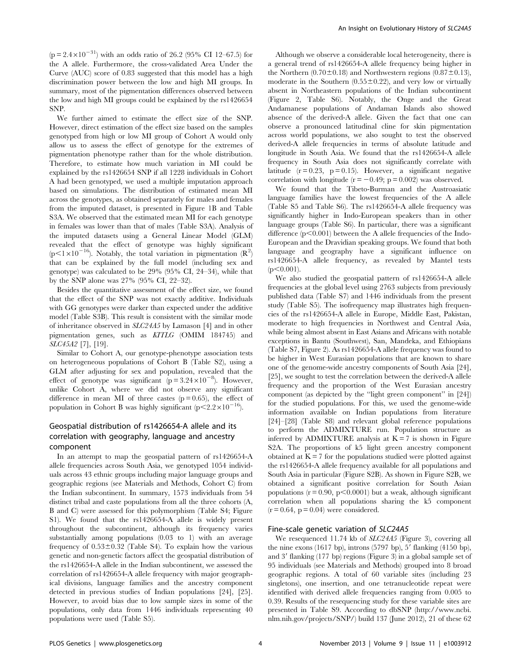$(p = 2.4 \times 10^{-31})$  with an odds ratio of 26.2 (95% CI 12–67.5) for the A allele. Furthermore, the cross-validated Area Under the Curve (AUC) score of 0.83 suggested that this model has a high discrimination power between the low and high MI groups. In summary, most of the pigmentation differences observed between the low and high MI groups could be explained by the rs1426654 SNP.

We further aimed to estimate the effect size of the SNP. However, direct estimation of the effect size based on the samples genotyped from high or low MI group of Cohort A would only allow us to assess the effect of genotype for the extremes of pigmentation phenotype rather than for the whole distribution. Therefore, to estimate how much variation in MI could be explained by the rs1426654 SNP if all 1228 individuals in Cohort A had been genotyped, we used a multiple imputation approach based on simulations. The distribution of estimated mean MI across the genotypes, as obtained separately for males and females from the imputed dataset, is presented in Figure 1B and Table S3A. We observed that the estimated mean MI for each genotype in females was lower than that of males (Table S3A). Analysis of the imputed datasets using a General Linear Model (GLM) revealed that the effect of genotype was highly significant  $(p<1\times10^{-16})$ . Notably, the total variation in pigmentation  $(R^2)$ that can be explained by the full model (including sex and genotype) was calculated to be 29% (95% CI, 24–34), while that by the SNP alone was 27% (95% CI, 22–32).

Besides the quantitative assessment of the effect size, we found that the effect of the SNP was not exactly additive. Individuals with GG genotypes were darker than expected under the additive model (Table S3B). This result is consistent with the similar mode of inheritance observed in SLC24A5 by Lamason [4] and in other pigmentation genes, such as KITLG (OMIM 184745) and SLC45A2 [7], [19].

Similar to Cohort A, our genotype-phenotype association tests on heterogeneous populations of Cohort B (Table S2), using a GLM after adjusting for sex and population, revealed that the effect of genotype was significant  $(p=3.24\times10^{-8})$ . However, unlike Cohort A, where we did not observe any significant difference in mean MI of three castes  $(p = 0.65)$ , the effect of population in Cohort B was highly significant ( $p<2.2\times10^{-16}$ ).

# Geospatial distribution of rs1426654-A allele and its correlation with geography, language and ancestry component

In an attempt to map the geospatial pattern of rs1426654-A allele frequencies across South Asia, we genotyped 1054 individuals across 43 ethnic groups including major language groups and geographic regions (see Materials and Methods, Cohort C) from the Indian subcontinent. In summary, 1573 individuals from 54 distinct tribal and caste populations from all the three cohorts (A, B and C) were assessed for this polymorphism (Table S4; Figure S1). We found that the rs1426654-A allele is widely present throughout the subcontinent, although its frequency varies substantially among populations (0.03 to 1) with an average frequency of  $0.53\pm0.32$  (Table S4). To explain how the various genetic and non-genetic factors affect the geospatial distribution of the rs1426654-A allele in the Indian subcontinent, we assessed the correlation of rs1426654-A allele frequency with major geographical divisions, language families and the ancestry component detected in previous studies of Indian populations [24], [25]. However, to avoid bias due to low sample sizes in some of the populations, only data from 1446 individuals representing 40 populations were used (Table S5).

Although we observe a considerable local heterogeneity, there is a general trend of rs1426654-A allele frequency being higher in the Northern (0.70 $\pm$ 0.18) and Northwestern regions (0.87 $\pm$ 0.13), moderate in the Southern  $(0.55 \pm 0.22)$ , and very low or virtually absent in Northeastern populations of the Indian subcontinent (Figure 2, Table S6). Notably, the Onge and the Great Andamanese populations of Andaman Islands also showed absence of the derived-A allele. Given the fact that one can observe a pronounced latitudinal cline for skin pigmentation across world populations, we also sought to test the observed derived-A allele frequencies in terms of absolute latitude and longitude in South Asia. We found that the rs1426654-A allele frequency in South Asia does not significantly correlate with latitude  $(r = 0.23, p = 0.15)$ . However, a significant negative correlation with longitude ( $r = -0.49$ ; p = 0.002) was observed.

We found that the Tibeto-Burman and the Austroasiatic language families have the lowest frequencies of the A allele (Table S5 and Table S6). The rs1426654-A allele frequency was significantly higher in Indo-European speakers than in other language groups (Table S6). In particular, there was a significant difference  $(p<0.001)$  between the A allele frequencies of the Indo-European and the Dravidian speaking groups. We found that both language and geography have a significant influence on rs1426654-A allele frequency, as revealed by Mantel tests  $(p<0.001)$ .

We also studied the geospatial pattern of rs1426654-A allele frequencies at the global level using 2763 subjects from previously published data (Table S7) and 1446 individuals from the present study (Table S5). The isofrequency map illustrates high frequencies of the rs1426654-A allele in Europe, Middle East, Pakistan, moderate to high frequencies in Northwest and Central Asia, while being almost absent in East Asians and Africans with notable exceptions in Bantu (Southwest), San, Mandeka, and Ethiopians (Table S7, Figure 2). As rs1426654-A allele frequency was found to be higher in West Eurasian populations that are known to share one of the genome-wide ancestry components of South Asia [24], [25], we sought to test the correlation between the derived-A allele frequency and the proportion of the West Eurasian ancestry component (as depicted by the ''light green component'' in [24]) for the studied populations. For this, we used the genome-wide information available on Indian populations from literature [24]–[28] (Table S8) and relevant global reference populations to perform the ADMIXTURE run. Population structure as inferred by ADMIXTURE analysis at  $K = 7$  is shown in Figure S<sub>2</sub>A. The proportions of k<sub>5</sub> light green ancestry component obtained at  $K = 7$  for the populations studied were plotted against the rs1426654-A allele frequency available for all populations and South Asia in particular (Figure S2B). As shown in Figure S2B, we obtained a significant positive correlation for South Asian populations ( $r = 0.90$ ,  $p < 0.0001$ ) but a weak, although significant correlation when all populations sharing the k5 component  $(r = 0.64, p = 0.04)$  were considered.

## Fine-scale genetic variation of SLC24A5

We resequenced 11.74 kb of  $SLC24A5$  (Figure 3), covering all the nine exons (1617 bp), introns (5797 bp),  $5'$  flanking (4150 bp), and  $3'$  flanking (177 bp) regions (Figure 3) in a global sample set of 95 individuals (see Materials and Methods) grouped into 8 broad geographic regions. A total of 60 variable sites (including 23 singletons), one insertion, and one tetranucleotide repeat were identified with derived allele frequencies ranging from 0.005 to 0.39. Results of the resequencing study for these variable sites are presented in Table S9. According to dbSNP (http://www.ncbi. nlm.nih.gov/projects/SNP/) build 137 (June 2012), 21 of these 62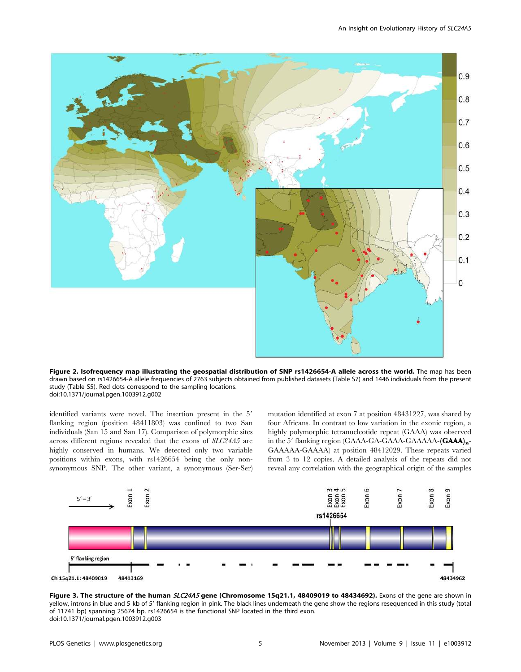

Figure 2. Isofrequency map illustrating the geospatial distribution of SNP rs1426654-A allele across the world. The map has been drawn based on rs1426654-A allele frequencies of 2763 subjects obtained from published datasets (Table S7) and 1446 individuals from the present study (Table S5). Red dots correspond to the sampling locations. doi:10.1371/journal.pgen.1003912.g002

identified variants were novel. The insertion present in the 5' flanking region (position 48411803) was confined to two San individuals (San 15 and San 17). Comparison of polymorphic sites across different regions revealed that the exons of SLC24A5 are highly conserved in humans. We detected only two variable positions within exons, with rs1426654 being the only nonsynonymous SNP. The other variant, a synonymous (Ser-Ser) mutation identified at exon 7 at position 48431227, was shared by four Africans. In contrast to low variation in the exonic region, a highly polymorphic tetranucleotide repeat (GAAA) was observed in the 5' flanking region  $(GAAA-GAAA-GAAA-A$  $(AAAA-GAAA-A)_{n}$ -GAAAAA-GAAAA) at position 48412029. These repeats varied from 3 to 12 copies. A detailed analysis of the repeats did not reveal any correlation with the geographical origin of the samples



Figure 3. The structure of the human SLC24A5 gene (Chromosome 15q21.1, 48409019 to 48434692). Exons of the gene are shown in yellow, introns in blue and 5 kb of 5' flanking region in pink. The black lines underneath the gene show the regions resequenced in this study (total of 11741 bp) spanning 25674 bp. rs1426654 is the functional SNP located in the third exon. doi:10.1371/journal.pgen.1003912.g003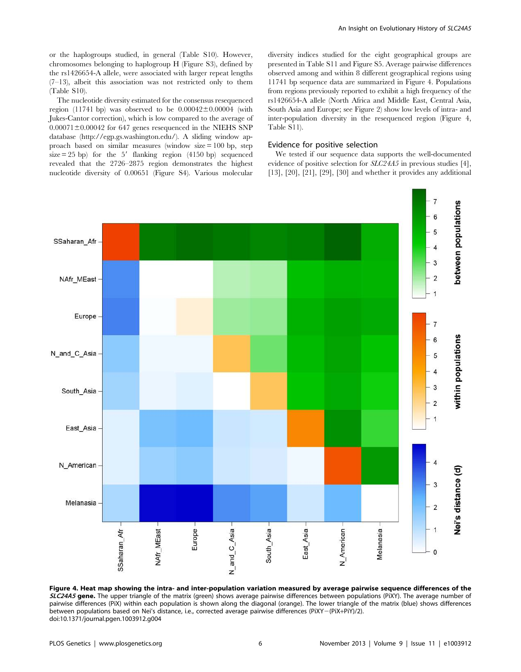or the haplogroups studied, in general (Table S10). However, chromosomes belonging to haplogroup H (Figure S3), defined by the rs1426654-A allele, were associated with larger repeat lengths (7–13), albeit this association was not restricted only to them (Table S10).

The nucleotide diversity estimated for the consensus resequenced region (11741 bp) was observed to be  $0.00042\pm0.00004$  (with Jukes-Cantor correction), which is low compared to the average of  $0.00071 \pm 0.00042$  for 647 genes resequenced in the NIEHS SNP database (http://egp.gs.washington.edu/). A sliding window approach based on similar measures (window size  $= 100$  bp, step  $size = 25$  bp) for the 5' flanking region (4150 bp) sequenced revealed that the 2726–2875 region demonstrates the highest nucleotide diversity of 0.00651 (Figure S4). Various molecular An Insight on Evolutionary History of SLC24A5

diversity indices studied for the eight geographical groups are presented in Table S11 and Figure S5. Average pairwise differences observed among and within 8 different geographical regions using 11741 bp sequence data are summarized in Figure 4. Populations from regions previously reported to exhibit a high frequency of the rs1426654-A allele (North Africa and Middle East, Central Asia, South Asia and Europe; see Figure 2) show low levels of intra- and inter-population diversity in the resequenced region (Figure 4, Table S11).

#### Evidence for positive selection

We tested if our sequence data supports the well-documented evidence of positive selection for SLC24A5 in previous studies [4], [13], [20], [21], [29], [30] and whether it provides any additional



Figure 4. Heat map showing the intra- and inter-population variation measured by average pairwise sequence differences of the SLC24A5 gene. The upper triangle of the matrix (green) shows average pairwise differences between populations (PiXY). The average number of pairwise differences (PiX) within each population is shown along the diagonal (orange). The lower triangle of the matrix (blue) shows differences between populations based on Nei's distance, i.e., corrected average pairwise differences (PiXY-(PiX+PiY)/2). doi:10.1371/journal.pgen.1003912.g004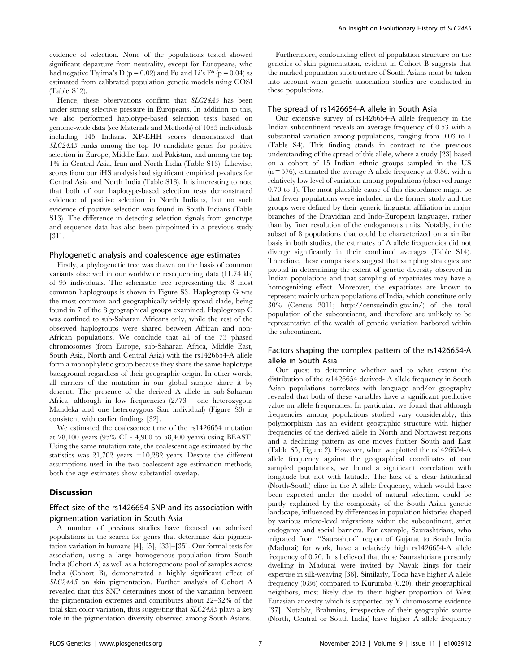evidence of selection. None of the populations tested showed significant departure from neutrality, except for Europeans, who had negative Tajima's D ( $p = 0.02$ ) and Fu and Li's  $F^*$  ( $p = 0.04$ ) as estimated from calibrated population genetic models using COSI (Table S12).

Hence, these observations confirm that SLC24A5 has been under strong selective pressure in Europeans. In addition to this, we also performed haplotype-based selection tests based on genome-wide data (see Materials and Methods) of 1035 individuals including 145 Indians. XP-EHH scores demonstrated that SLC24A5 ranks among the top 10 candidate genes for positive selection in Europe, Middle East and Pakistan, and among the top 1% in Central Asia, Iran and North India (Table S13). Likewise, scores from our iHS analysis had significant empirical p-values for Central Asia and North India (Table S13). It is interesting to note that both of our haplotype-based selection tests demonstrated evidence of positive selection in North Indians, but no such evidence of positive selection was found in South Indians (Table S13). The difference in detecting selection signals from genotype and sequence data has also been pinpointed in a previous study [31].

## Phylogenetic analysis and coalescence age estimates

Firstly, a phylogenetic tree was drawn on the basis of common variants observed in our worldwide resequencing data (11.74 kb) of 95 individuals. The schematic tree representing the 8 most common haplogroups is shown in Figure S3. Haplogroup G was the most common and geographically widely spread clade, being found in 7 of the 8 geographical groups examined. Haplogroup C was confined to sub-Saharan Africans only, while the rest of the observed haplogroups were shared between African and non-African populations. We conclude that all of the 73 phased chromosomes (from Europe, sub-Saharan Africa, Middle East, South Asia, North and Central Asia) with the rs1426654-A allele form a monophyletic group because they share the same haplotype background regardless of their geographic origin. In other words, all carriers of the mutation in our global sample share it by descent. The presence of the derived A allele in sub-Saharan Africa, although in low frequencies (2/73 - one heterozygous Mandeka and one heterozygous San individual) (Figure S3) is consistent with earlier findings [32].

We estimated the coalescence time of the rs1426654 mutation at 28,100 years (95% CI - 4,900 to 58,400 years) using BEAST. Using the same mutation rate, the coalescent age estimated by rho statistics was 21,702 years  $\pm 10,282$  years. Despite the different assumptions used in the two coalescent age estimation methods, both the age estimates show substantial overlap.

# Discussion

# Effect size of the rs1426654 SNP and its association with pigmentation variation in South Asia

A number of previous studies have focused on admixed populations in the search for genes that determine skin pigmentation variation in humans [4], [5], [33]–[35]. Our formal tests for association, using a large homogenous population from South India (Cohort A) as well as a heterogeneous pool of samples across India (Cohort B), demonstrated a highly significant effect of SLC24A5 on skin pigmentation. Further analysis of Cohort A revealed that this SNP determines most of the variation between the pigmentation extremes and contributes about 22–32% of the total skin color variation, thus suggesting that SLC24A5 plays a key role in the pigmentation diversity observed among South Asians.

Furthermore, confounding effect of population structure on the genetics of skin pigmentation, evident in Cohort B suggests that the marked population substructure of South Asians must be taken into account when genetic association studies are conducted in these populations.

#### The spread of rs1426654-A allele in South Asia

Our extensive survey of rs1426654-A allele frequency in the Indian subcontinent reveals an average frequency of 0.53 with a substantial variation among populations, ranging from 0.03 to 1 (Table S4). This finding stands in contrast to the previous understanding of the spread of this allele, where a study [23] based on a cohort of 15 Indian ethnic groups sampled in the US  $(n = 576)$ , estimated the average A allele frequency at 0.86, with a relatively low level of variation among populations (observed range 0.70 to 1). The most plausible cause of this discordance might be that fewer populations were included in the former study and the groups were defined by their generic linguistic affiliation in major branches of the Dravidian and Indo-European languages, rather than by finer resolution of the endogamous units. Notably, in the subset of 8 populations that could be characterized on a similar basis in both studies, the estimates of A allele frequencies did not diverge significantly in their combined averages (Table S14). Therefore, these comparisons suggest that sampling strategies are pivotal in determining the extent of genetic diversity observed in Indian populations and that sampling of expatriates may have a homogenizing effect. Moreover, the expatriates are known to represent mainly urban populations of India, which constitute only 30% (Census 2011; http://censusindia.gov.in/) of the total population of the subcontinent, and therefore are unlikely to be representative of the wealth of genetic variation harbored within the subcontinent.

# Factors shaping the complex pattern of the rs1426654-A allele in South Asia

Our quest to determine whether and to what extent the distribution of the rs1426654 derived- A allele frequency in South Asian populations correlates with language and/or geography revealed that both of these variables have a significant predictive value on allele frequencies. In particular, we found that although frequencies among populations studied vary considerably, this polymorphism has an evident geographic structure with higher frequencies of the derived allele in North and Northwest regions and a declining pattern as one moves further South and East (Table S5, Figure 2). However, when we plotted the rs1426654-A allele frequency against the geographical coordinates of our sampled populations, we found a significant correlation with longitude but not with latitude. The lack of a clear latitudinal (North-South) cline in the A allele frequency, which would have been expected under the model of natural selection, could be partly explained by the complexity of the South Asian genetic landscape, influenced by differences in population histories shaped by various micro-level migrations within the subcontinent, strict endogamy and social barriers. For example, Saurashtrians, who migrated from ''Saurashtra'' region of Gujarat to South India (Madurai) for work, have a relatively high rs1426654-A allele frequency of 0.70. It is believed that those Saurashtrians presently dwelling in Madurai were invited by Nayak kings for their expertise in silk-weaving [36]. Similarly, Toda have higher A allele frequency (0.86) compared to Kurumba (0.20), their geographical neighbors, most likely due to their higher proportion of West Eurasian ancestry which is supported by Y chromosome evidence [37]. Notably, Brahmins, irrespective of their geographic source (North, Central or South India) have higher A allele frequency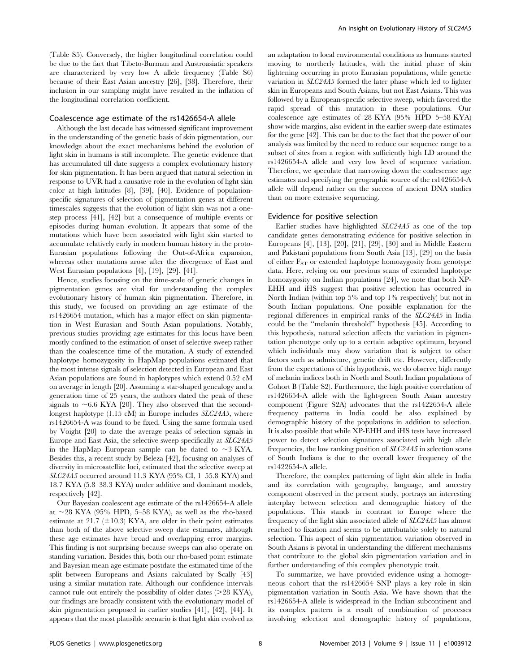(Table S5). Conversely, the higher longitudinal correlation could be due to the fact that Tibeto-Burman and Austroasiatic speakers are characterized by very low A allele frequency (Table S6) because of their East Asian ancestry [26], [38]. Therefore, their inclusion in our sampling might have resulted in the inflation of the longitudinal correlation coefficient.

#### Coalescence age estimate of the rs1426654-A allele

Although the last decade has witnessed significant improvement in the understanding of the genetic basis of skin pigmentation, our knowledge about the exact mechanisms behind the evolution of light skin in humans is still incomplete. The genetic evidence that has accumulated till date suggests a complex evolutionary history for skin pigmentation. It has been argued that natural selection in response to UVR had a causative role in the evolution of light skin color at high latitudes [8], [39], [40]. Evidence of populationspecific signatures of selection of pigmentation genes at different timescales suggests that the evolution of light skin was not a onestep process [41], [42] but a consequence of multiple events or episodes during human evolution. It appears that some of the mutations which have been associated with light skin started to accumulate relatively early in modern human history in the proto-Eurasian populations following the Out-of-Africa expansion, whereas other mutations arose after the divergence of East and West Eurasian populations [4], [19], [29], [41].

Hence, studies focusing on the time-scale of genetic changes in pigmentation genes are vital for understanding the complex evolutionary history of human skin pigmentation. Therefore, in this study, we focused on providing an age estimate of the rs1426654 mutation, which has a major effect on skin pigmentation in West Eurasian and South Asian populations. Notably, previous studies providing age estimates for this locus have been mostly confined to the estimation of onset of selective sweep rather than the coalescence time of the mutation. A study of extended haplotype homozygosity in HapMap populations estimated that the most intense signals of selection detected in European and East Asian populations are found in haplotypes which extend 0.52 cM on average in length [20]. Assuming a star-shaped genealogy and a generation time of 25 years, the authors dated the peak of these signals to  $\sim$  6.6 KYA [20]. They also observed that the secondlongest haplotype (1.15 cM) in Europe includes *SLC24A5*, where rs1426654-A was found to be fixed. Using the same formula used by Voight [20] to date the average peaks of selection signals in Europe and East Asia, the selective sweep specifically at SLC24A5 in the HapMap European sample can be dated to  $\sim$ 3 KYA. Besides this, a recent study by Beleza [42], focusing on analyses of diversity in microsatellite loci, estimated that the selective sweep at SLC24A5 occurred around 11.3 KYA (95% CI, 1–55.8 KYA) and 18.7 KYA (5.8–38.3 KYA) under additive and dominant models, respectively [42].

Our Bayesian coalescent age estimate of the rs1426654-A allele at  $\sim$ 28 KYA (95% HPD, 5–58 KYA), as well as the rho-based estimate at 21.7 ( $\pm$ 10.3) KYA, are older in their point estimates than both of the above selective sweep date estimates, although these age estimates have broad and overlapping error margins. This finding is not surprising because sweeps can also operate on standing variation. Besides this, both our rho-based point estimate and Bayesian mean age estimate postdate the estimated time of the split between Europeans and Asians calculated by Scally [43] using a similar mutation rate. Although our confidence intervals cannot rule out entirely the possibility of older dates  $(>28$  KYA), our findings are broadly consistent with the evolutionary model of skin pigmentation proposed in earlier studies [41], [42], [44]. It appears that the most plausible scenario is that light skin evolved as an adaptation to local environmental conditions as humans started moving to northerly latitudes, with the initial phase of skin lightening occurring in proto Eurasian populations, while genetic variation in SLC24A5 formed the later phase which led to lighter skin in Europeans and South Asians, but not East Asians. This was followed by a European-specific selective sweep, which favored the rapid spread of this mutation in these populations. Our coalescence age estimates of 28 KYA (95% HPD 5–58 KYA) show wide margins, also evident in the earlier sweep date estimates for the gene [42]. This can be due to the fact that the power of our analysis was limited by the need to reduce our sequence range to a subset of sites from a region with sufficiently high LD around the rs1426654-A allele and very low level of sequence variation. Therefore, we speculate that narrowing down the coalescence age estimates and specifying the geographic source of the rs1426654-A allele will depend rather on the success of ancient DNA studies than on more extensive sequencing.

# Evidence for positive selection

Earlier studies have highlighted SLC24A5 as one of the top candidate genes demonstrating evidence for positive selection in Europeans [4], [13], [20], [21], [29], [30] and in Middle Eastern and Pakistani populations from South Asia [13], [29] on the basis of either  $F_{ST}$  or extended haplotype homozygosity from genotype data. Here, relying on our previous scans of extended haplotype homozygosity on Indian populations [24], we note that both XP-EHH and iHS suggest that positive selection has occurred in North Indian (within top 5% and top 1% respectively) but not in South Indian populations. One possible explanation for the regional differences in empirical ranks of the SLC24A5 in India could be the ''melanin threshold'' hypothesis [45]. According to this hypothesis, natural selection affects the variation in pigmentation phenotype only up to a certain adaptive optimum, beyond which individuals may show variation that is subject to other factors such as admixture, genetic drift etc. However, differently from the expectations of this hypothesis, we do observe high range of melanin indices both in North and South Indian populations of Cohort B (Table S2). Furthermore, the high positive correlation of rs1426654-A allele with the light-green South Asian ancestry component (Figure S2A) advocates that the rs1422654-A allele frequency patterns in India could be also explained by demographic history of the populations in addition to selection. It is also possible that while XP-EHH and iHS tests have increased power to detect selection signatures associated with high allele frequencies, the low ranking position of SLC24A5 in selection scans of South Indians is due to the overall lower frequency of the rs1422654-A allele.

Therefore, the complex patterning of light skin allele in India and its correlation with geography, language, and ancestry component observed in the present study, portrays an interesting interplay between selection and demographic history of the populations. This stands in contrast to Europe where the frequency of the light skin associated allele of SLC24A5 has almost reached to fixation and seems to be attributable solely to natural selection. This aspect of skin pigmentation variation observed in South Asians is pivotal in understanding the different mechanisms that contribute to the global skin pigmentation variation and in further understanding of this complex phenotypic trait.

To summarize, we have provided evidence using a homogeneous cohort that the rs1426654 SNP plays a key role in skin pigmentation variation in South Asia. We have shown that the rs1426654-A allele is widespread in the Indian subcontinent and its complex pattern is a result of combination of processes involving selection and demographic history of populations,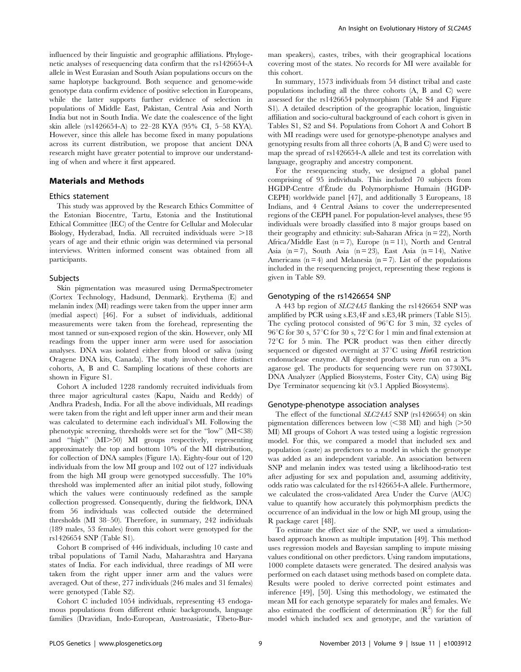influenced by their linguistic and geographic affiliations. Phylogenetic analyses of resequencing data confirm that the rs1426654-A allele in West Eurasian and South Asian populations occurs on the same haplotype background. Both sequence and genome-wide genotype data confirm evidence of positive selection in Europeans, while the latter supports further evidence of selection in populations of Middle East, Pakistan, Central Asia and North India but not in South India. We date the coalescence of the light skin allele (rs1426654-A) to 22–28 KYA (95% CI, 5–58 KYA). However, since this allele has become fixed in many populations across its current distribution, we propose that ancient DNA research might have greater potential to improve our understanding of when and where it first appeared.

#### Materials and Methods

#### Ethics statement

This study was approved by the Research Ethics Committee of the Estonian Biocentre, Tartu, Estonia and the Institutional Ethical Committee (IEC) of the Centre for Cellular and Molecular Biology, Hyderabad, India. All recruited individuals were  $>18$ years of age and their ethnic origin was determined via personal interviews. Written informed consent was obtained from all participants.

#### Subjects

Skin pigmentation was measured using DermaSpectrometer (Cortex Technology, Hadsund, Denmark). Erythema (E) and melanin index (MI) readings were taken from the upper inner arm (medial aspect) [46]. For a subset of individuals, additional measurements were taken from the forehead, representing the most tanned or sun-exposed region of the skin. However, only MI readings from the upper inner arm were used for association analyses. DNA was isolated either from blood or saliva (using Oragene DNA kits, Canada). The study involved three distinct cohorts, A, B and C. Sampling locations of these cohorts are shown in Figure S1.

Cohort A included 1228 randomly recruited individuals from three major agricultural castes (Kapu, Naidu and Reddy) of Andhra Pradesh, India. For all the above individuals, MI readings were taken from the right and left upper inner arm and their mean was calculated to determine each individual's MI. Following the phenotypic screening, thresholds were set for the "low"  $(MI<38)$ and "high" (MI>50) MI groups respectively, representing approximately the top and bottom 10% of the MI distribution, for collection of DNA samples (Figure 1A). Eighty-four out of 120 individuals from the low MI group and 102 out of 127 individuals from the high MI group were genotyped successfully. The 10% threshold was implemented after an initial pilot study, following which the values were continuously redefined as the sample collection progressed. Consequently, during the fieldwork, DNA from 56 individuals was collected outside the determined thresholds (MI 38–50). Therefore, in summary, 242 individuals (189 males, 53 females) from this cohort were genotyped for the rs1426654 SNP (Table S1).

Cohort B comprised of 446 individuals, including 10 caste and tribal populations of Tamil Nadu, Maharashtra and Haryana states of India. For each individual, three readings of MI were taken from the right upper inner arm and the values were averaged. Out of these, 277 individuals (246 males and 31 females) were genotyped (Table S2).

Cohort C included 1054 individuals, representing 43 endogamous populations from different ethnic backgrounds, language families (Dravidian, Indo-European, Austroasiatic, Tibeto-Burman speakers), castes, tribes, with their geographical locations covering most of the states. No records for MI were available for this cohort.

In summary, 1573 individuals from 54 distinct tribal and caste populations including all the three cohorts (A, B and C) were assessed for the rs1426654 polymorphism (Table S4 and Figure S1). A detailed description of the geographic location, linguistic affiliation and socio-cultural background of each cohort is given in Tables S1, S2 and S4. Populations from Cohort A and Cohort B with MI readings were used for genotype-phenotype analyses and genotyping results from all three cohorts (A, B and C) were used to map the spread of rs1426654-A allele and test its correlation with language, geography and ancestry component.

For the resequencing study, we designed a global panel comprising of 95 individuals. This included 70 subjects from HGDP-Centre d'Étude du Polymorphisme Humain (HGDP-CEPH) worldwide panel [47], and additionally 3 Europeans, 18 Indians, and 4 Central Asians to cover the underrepresented regions of the CEPH panel. For population-level analyses, these 95 individuals were broadly classified into 8 major groups based on their geography and ethnicity: sub-Saharan Africa ( $n = 22$ ), North Africa/Middle East  $(n = 7)$ , Europe  $(n = 11)$ , North and Central Asia (n = 7), South Asia (n = 23), East Asia (n = 14), Native Americans  $(n = 4)$  and Melanesia  $(n = 7)$ . List of the populations included in the resequencing project, representing these regions is given in Table S9.

#### Genotyping of the rs1426654 SNP

A 443 bp region of SLC24A5 flanking the rs1426654 SNP was amplified by PCR using s.E3,4F and s.E3,4R primers (Table S15). The cycling protocol consisted of  $96^{\circ}$ C for 3 min, 32 cycles of 96°C for 30 s, 57°C for 30 s, 72°C for 1 min and final extension at 72°C for 5 min. The PCR product was then either directly sequenced or digested overnight at  $37^{\circ}$ C using *Hin*6I restriction endonuclease enzyme. All digested products were run on a 3% agarose gel. The products for sequencing were run on 3730XL DNA Analyzer (Applied Biosystems, Foster City, CA) using Big Dye Terminator sequencing kit (v3.1 Applied Biosystems).

#### Genotype-phenotype association analyses

The effect of the functional SLC24A5 SNP (rs1426654) on skin pigmentation differences between low  $\langle 38 \text{ MI} \rangle$  and high  $\langle 250 \text{ }\rangle$ MI) MI groups of Cohort A was tested using a logistic regression model. For this, we compared a model that included sex and population (caste) as predictors to a model in which the genotype was added as an independent variable. An association between SNP and melanin index was tested using a likelihood-ratio test after adjusting for sex and population and, assuming additivity, odds ratio was calculated for the rs1426654-A allele. Furthermore, we calculated the cross-validated Area Under the Curve (AUC) value to quantify how accurately this polymorphism predicts the occurrence of an individual in the low or high MI group, using the R package caret [48].

To estimate the effect size of the SNP, we used a simulationbased approach known as multiple imputation [49]. This method uses regression models and Bayesian sampling to impute missing values conditional on other predictors. Using random imputations, 1000 complete datasets were generated. The desired analysis was performed on each dataset using methods based on complete data. Results were pooled to derive corrected point estimates and inference [49], [50]. Using this methodology, we estimated the mean MI for each genotype separately for males and females. We also estimated the coefficient of determination  $(R^2)$  for the full model which included sex and genotype, and the variation of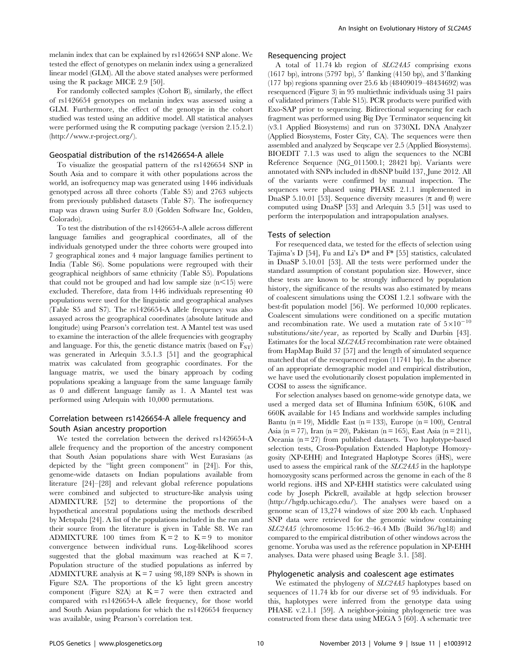melanin index that can be explained by rs1426654 SNP alone. We tested the effect of genotypes on melanin index using a generalized linear model (GLM). All the above stated analyses were performed using the R package MICE 2.9 [50].

For randomly collected samples (Cohort B), similarly, the effect of rs1426654 genotypes on melanin index was assessed using a GLM. Furthermore, the effect of the genotype in the cohort studied was tested using an additive model. All statistical analyses were performed using the R computing package (version 2.15.2.1) (http://www.r-project.org/).

#### Geospatial distribution of the rs1426654-A allele

To visualize the geospatial pattern of the rs1426654 SNP in South Asia and to compare it with other populations across the world, an isofrequency map was generated using 1446 individuals genotyped across all three cohorts (Table S5) and 2763 subjects from previously published datasets (Table S7). The isofrequency map was drawn using Surfer 8.0 (Golden Software Inc, Golden, Colorado).

To test the distribution of the rs1426654-A allele across different language families and geographical coordinates, all of the individuals genotyped under the three cohorts were grouped into 7 geographical zones and 4 major language families pertinent to India (Table S6). Some populations were regrouped with their geographical neighbors of same ethnicity (Table S5). Populations that could not be grouped and had low sample size  $(n<15)$  were excluded. Therefore, data from 1446 individuals representing 40 populations were used for the linguistic and geographical analyses (Table S5 and S7). The rs1426654-A allele frequency was also assayed across the geographical coordinates (absolute latitude and longitude) using Pearson's correlation test. A Mantel test was used to examine the interaction of the allele frequencies with geography and language. For this, the genetic distance matrix (based on  $F_{ST}$ ) was generated in Arlequin 3.5.1.3 [51] and the geographical matrix was calculated from geographic coordinates. For the language matrix, we used the binary approach by coding populations speaking a language from the same language family as 0 and different language family as 1. A Mantel test was performed using Arlequin with 10,000 permutations.

# Correlation between rs1426654-A allele frequency and South Asian ancestry proportion

We tested the correlation between the derived rs1426654-A allele frequency and the proportion of the ancestry component that South Asian populations share with West Eurasians (as depicted by the "light green component" in [24]). For this, genome-wide datasets on Indian populations available from literature [24]–[28] and relevant global reference populations were combined and subjected to structure-like analysis using ADMIXTURE [52] to determine the proportions of the hypothetical ancestral populations using the methods described by Metspalu [24]. A list of the populations included in the run and their source from the literature is given in Table S8. We ran ADMIXTURE 100 times from  $K = 2$  to  $K = 9$  to monitor convergence between individual runs. Log-likelihood scores suggested that the global maximum was reached at  $K = 7$ . Population structure of the studied populations as inferred by ADMIXTURE analysis at  $K = 7$  using 98,189 SNPs is shown in Figure S2A. The proportions of the k5 light green ancestry component (Figure S2A) at  $K = 7$  were then extracted and compared with rs1426654-A allele frequency, for those world and South Asian populations for which the rs1426654 frequency was available, using Pearson's correlation test.

## Resequencing project

A total of 11.74 kb region of SLC24A5 comprising exons (1617 bp), introns (5797 bp), 5' flanking (4150 bp), and 3' flanking (177 bp) regions spanning over 25.6 kb (48409019–48434692) was resequenced (Figure 3) in 95 multiethnic individuals using 31 pairs of validated primers (Table S15). PCR products were purified with Exo-SAP prior to sequencing. Bidirectional sequencing for each fragment was performed using Big Dye Terminator sequencing kit (v3.1 Applied Biosystems) and run on 3730XL DNA Analyzer (Applied Biosystems, Foster City, CA). The sequences were then assembled and analyzed by Seqscape ver 2.5 (Applied Biosystems). BIOEDIT 7.1.3 was used to align the sequences to the NCBI Reference Sequence (NG\_011500.1; 28421 bp). Variants were annotated with SNPs included in dbSNP build 137, June 2012. All of the variants were confirmed by manual inspection. The sequences were phased using PHASE 2.1.1 implemented in DnaSP 5.10.01 [53]. Sequence diversity measures ( $\pi$  and  $\theta$ ) were computed using DnaSP [53] and Arlequin 3.5 [51] was used to perform the interpopulation and intrapopulation analyses.

## Tests of selection

For resequenced data, we tested for the effects of selection using Tajima's D [54], Fu and Li's D\* and F\* [55] statistics, calculated in DnaSP 5.10.01 [53]. All the tests were performed under the standard assumption of constant population size. However, since these tests are known to be strongly influenced by population history, the significance of the results was also estimated by means of coalescent simulations using the COSI 1.2.1 software with the best-fit population model [56]. We performed 10,000 replicates. Coalescent simulations were conditioned on a specific mutation and recombination rate. We used a mutation rate of  $5\times10^{-10}$ substitutions/site/year, as reported by Scally and Durbin [43]. Estimates for the local SLC24A5 recombination rate were obtained from HapMap Build 37 [57] and the length of simulated sequence matched that of the resequenced region (11741 bp). In the absence of an appropriate demographic model and empirical distribution, we have used the evolutionarily closest population implemented in COSI to assess the significance.

For selection analyses based on genome-wide genotype data, we used a merged data set of Illumina Infinium 650K, 610K and 660K available for 145 Indians and worldwide samples including Bantu (n = 19), Middle East (n = 133), Europe (n = 100), Central Asia (n = 77), Iran (n = 20), Pakistan (n = 165), East Asia (n = 211), Oceania  $(n = 27)$  from published datasets. Two haplotype-based selection tests, Cross-Population Extended Haplotype Homozygosity (XP-EHH) and Integrated Haplotype Scores (iHS), were used to assess the empirical rank of the SLC24A5 in the haplotype homozygosity scans performed across the genome in each of the 8 world regions. iHS and XP-EHH statistics were calculated using code by Joseph Pickrell, available at hgdp selection browser (http://hgdp.uchicago.edu/). The analyses were based on a genome scan of 13,274 windows of size 200 kb each. Unphased SNP data were retrieved for the genomic window containing SLC24A5 (chromosome 15:46.2–46.4 Mb (Build 36/hg18) and compared to the empirical distribution of other windows across the genome. Yoruba was used as the reference population in XP-EHH analyses. Data were phased using Beagle 3.1. [58].

#### Phylogenetic analysis and coalescent age estimates

We estimated the phylogeny of SLC24A5 haplotypes based on sequences of 11.74 kb for our diverse set of 95 individuals. For this, haplotypes were inferred from the genotype data using PHASE v.2.1.1 [59]. A neighbor-joining phylogenetic tree was constructed from these data using MEGA 5 [60]. A schematic tree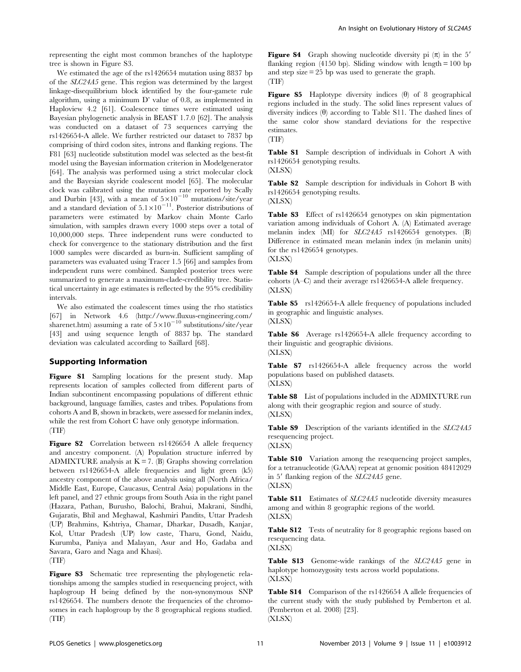representing the eight most common branches of the haplotype tree is shown in Figure S3.

We estimated the age of the rs1426654 mutation using 8837 bp of the SLC24A5 gene. This region was determined by the largest linkage-disequilibrium block identified by the four-gamete rule algorithm, using a minimum D' value of 0.8, as implemented in Haploview 4.2 [61]. Coalescence times were estimated using Bayesian phylogenetic analysis in BEAST 1.7.0 [62]. The analysis was conducted on a dataset of 73 sequences carrying the rs1426654-A allele. We further restricted our dataset to 7837 bp comprising of third codon sites, introns and flanking regions. The F81 [63] nucleotide substitution model was selected as the best-fit model using the Bayesian information criterion in Modelgenerator [64]. The analysis was performed using a strict molecular clock and the Bayesian skyride coalescent model [65]. The molecular clock was calibrated using the mutation rate reported by Scally and Durbin [43], with a mean of  $5\times10^{-10}$  mutations/site/year and a standard deviation of  $5.1 \times 10^{-11}$ . Posterior distributions of parameters were estimated by Markov chain Monte Carlo simulation, with samples drawn every 1000 steps over a total of 10,000,000 steps. Three independent runs were conducted to check for convergence to the stationary distribution and the first 1000 samples were discarded as burn-in. Sufficient sampling of parameters was evaluated using Tracer 1.5 [66] and samples from independent runs were combined. Sampled posterior trees were summarized to generate a maximum-clade-credibility tree. Statistical uncertainty in age estimates is reflected by the 95% credibility intervals.

We also estimated the coalescent times using the rho statistics [67] in Network 4.6 (http://www.fluxus-engineering.com/ sharenet.htm) assuming a rate of  $5\times10^{-10}$  substitutions/site/year [43] and using sequence length of 8837 bp. The standard deviation was calculated according to Saillard [68].

# Supporting Information

Figure S1 Sampling locations for the present study. Map represents location of samples collected from different parts of Indian subcontinent encompassing populations of different ethnic background, language families, castes and tribes. Populations from cohorts A and B, shown in brackets, were assessed for melanin index, while the rest from Cohort C have only genotype information. (TIF)

Figure S2 Correlation between rs1426654 A allele frequency and ancestry component. (A) Population structure inferred by ADMIXTURE analysis at  $K = 7$ . (B) Graphs showing correlation between rs1426654-A allele frequencies and light green (k5) ancestry component of the above analysis using all (North Africa/ Middle East, Europe, Caucasus, Central Asia) populations in the left panel, and 27 ethnic groups from South Asia in the right panel (Hazara, Pathan, Burusho, Balochi, Brahui, Makrani, Sindhi, Gujaratis, Bhil and Meghawal, Kashmiri Pandits, Uttar Pradesh (UP) Brahmins, Kshtriya, Chamar, Dharkar, Dusadh, Kanjar, Kol, Uttar Pradesh (UP) low caste, Tharu, Gond, Naidu, Kurumba, Paniya and Malayan, Asur and Ho, Gadaba and Savara, Garo and Naga and Khasi).

(TIF)

Figure S3 Schematic tree representing the phylogenetic relationships among the samples studied in resequencing project, with haplogroup H being defined by the non-synonymous SNP rs1426654. The numbers denote the frequencies of the chromosomes in each haplogroup by the 8 geographical regions studied. (TIF)

**Figure S4** Graph showing nucleotide diversity pi  $(\pi)$  in the 5' flanking region (4150 bp). Sliding window with length  $= 100$  bp and step size = 25 bp was used to generate the graph. (TIF)

**Figure S5** Haplotype diversity indices  $(\theta)$  of 8 geographical regions included in the study. The solid lines represent values of diversity indices  $(\theta)$  according to Table S11. The dashed lines of the same color show standard deviations for the respective estimates. (TIF)

Table S1 Sample description of individuals in Cohort A with rs1426654 genotyping results.

(XLSX)

Table S2 Sample description for individuals in Cohort B with rs1426654 genotyping results.

(XLSX)

Table S3 Effect of rs1426654 genotypes on skin pigmentation variation among individuals of Cohort A. (A) Estimated average melanin index (MI) for SLC24A5 rs1426654 genotypes. (B) Difference in estimated mean melanin index (in melanin units) for the rs1426654 genotypes.



Table S4 Sample description of populations under all the three cohorts (A–C) and their average rs1426654-A allele frequency. (XLSX)

Table S5 rs1426654-A allele frequency of populations included in geographic and linguistic analyses. (XLSX)

Table S6 Average rs1426654-A allele frequency according to their linguistic and geographic divisions. (XLSX)

Table S7 rs1426654-A allele frequency across the world populations based on published datasets. (XLSX)

Table S8 List of populations included in the ADMIXTURE run along with their geographic region and source of study. (XLSX)

Table S9 Description of the variants identified in the SLC24A5 resequencing project.

(XLSX)

Table S10 Variation among the resequencing project samples, for a tetranucleotide (GAAA) repeat at genomic position 48412029 in  $5'$  flanking region of the  $SLC24A5$  gene. (XLSX)

Table S11 Estimates of SLC24A5 nucleotide diversity measures among and within 8 geographic regions of the world. (XLSX)

Table S12 Tests of neutrality for 8 geographic regions based on resequencing data. (XLSX)

Table S13 Genome-wide rankings of the SLC24A5 gene in haplotype homozygosity tests across world populations. (XLSX)

Table S14 Comparison of the rs1426654 A allele frequencies of the current study with the study published by Pemberton et al. (Pemberton et al. 2008) [23]. (XLSX)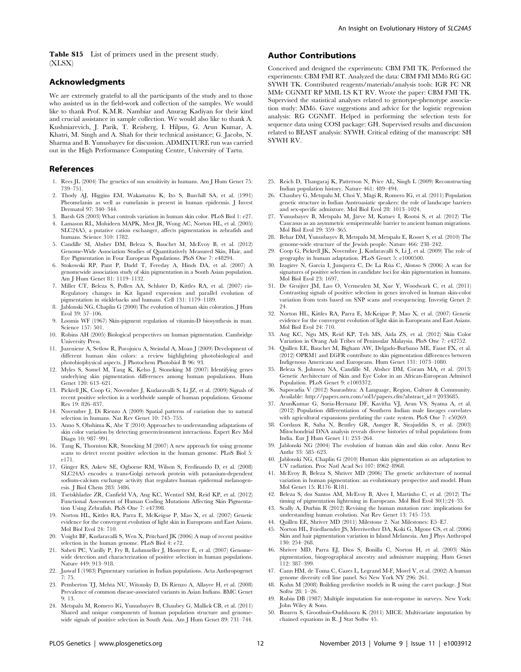Table S15 List of primers used in the present study. (XLSX)

## Acknowledgments

We are extremely grateful to all the participants of the study and to those who assisted us in the field-work and collection of the samples. We would like to thank Prof. K.M.R. Nambiar and Anurag Kadiyan for their kind and crucial assistance in sample collection. We would also like to thank A. Kushniarevich, J. Parik, T. Reisberg, I. Hilpus, G. Arun Kumar, A. Khatri, M. Singh and A. Shah for their technical assistance; G. Jacobs, N. Sharma and B. Yunusbayev for discussion. ADMIXTURE run was carried out in the High Performance Computing Centre, University of Tartu.

#### References

- 1. Rees JL (2004) The genetics of sun sensitivity in humans. Am J Hum Genet 75: 739–751.
- 2. Thody AJ, Higgins EM, Wakamatsu K, Ito S, Burchill SA, et al. (1991) Pheomelanin as well as eumelanin is present in human epidermis. J Invest Dermatol 97: 340–344.
- 3. Barsh GS (2003) What controls variation in human skin color. PLoS Biol 1: e27. 4. Lamason RL, Mohideen MAPK, Mest JR, Wong AC, Norton HL, et al. (2005)
- SLC24A5, a putative cation exchanger, affects pigmentation in zebrafish and humans. Science 310: 1782.
- 5. Candille SI, Absher DM, Beleza S, Bauchet M, McEvoy B, et al. (2012) Genome-Wide Association Studies of Quantitatively Measured Skin, Hair, and Eye Pigmentation in Four European Populations. PloS One 7: e48294.
- 6. Stokowski RP, Pant P, Dadd T, Fereday A, Hinds DA, et al. (2007) A genomewide association study of skin pigmentation in a South Asian population. Am J Hum Genet 81: 1119–1132.
- 7. Miller CT, Beleza S, Pollen AA, Schluter D, Kittles RA, et al. (2007) cis-Regulatory changes in Kit ligand expression and parallel evolution of pigmentation in sticklebacks and humans. Cell 131: 1179–1189.
- 8. Jablonski NG, Chaplin G (2000) The evolution of human skin coloration. J Hum Evol 39: 57–106.
- 9. Loomis WF (1967) Skin-pigment regulation of vitamin-D biosynthesis in man. Science 157: 501.
- 10. Robins AH (2005) Biological perspectives on human pigmentation. Cambridge University Press.
- 11. Juzeniene A, Setlow R, Porojnicu A, Steindal A, Moan J (2009) Development of different human skin colors: a review highlighting photobiological and photobiophysical aspects. J Photochem Photobiol B 96: 93.
- 12. Myles S, Somel M, Tang K, Kelso J, Stoneking M (2007) Identifying genes underlying skin pigmentation differences among human populations. Hum Genet 120: 613–621.
- 13. Pickrell JK, Coop G, Novembre J, Kudaravalli S, Li JZ, et al. (2009) Signals of recent positive selection in a worldwide sample of human populations. Genome Res 19: 826–837.
- 14. Novembre J, Di Rienzo A (2009) Spatial patterns of variation due to natural selection in humans. Nat Rev Genet 10: 745–755.
- 15. Anno S, Ohshima K, Abe T (2010) Approaches to understanding adaptations of skin color variation by detecting geneenvironment interactions. Expert Rev Mol Diagn 10: 987–991.
- 16. Tang K, Thornton KR, Stoneking M (2007) A new approach for using genome scans to detect recent positive selection in the human genome. PLoS Biol 5: e171.
- 17. Ginger RS, Askew SE, Ogborne RM, Wilson S, Ferdinando D, et al. (2008) SLC24A5 encodes a trans-Golgi network protein with potassium-dependent sodium-calcium exchange activity that regulates human epidermal melanogenesis. J Biol Chem 283: 5486.
- 18. Tsetskhladze ZR, Canfield VA, Ang KC, Wentzel SM, Reid KP, et al. (2012) Functional Assessment of Human Coding Mutations Affecting Skin Pigmentation Using Zebrafish. PloS One 7: e47398.
- 19. Norton HL, Kittles RA, Parra E, McKeigue P, Mao X, et al. (2007) Genetic evidence for the convergent evolution of light skin in Europeans and East Asians. Mol Biol Evol 24: 710.
- 20. Voight BF, Kudaravalli S, Wen X, Pritchard JK (2006) A map of recent positive selection in the human genome. PLoS Biol 4: e72.
- 21. Sabeti PC, Varilly P, Fry B, Lohmueller J, Hostetter E, et al. (2007) Genomewide detection and characterization of positive selection in human populations. Nature 449: 913–918.
- 22. Jaswal I (1983) Pigmentary variation in Indian populations. Acta Anthropogenet 7: 75.
- 23. Pemberton TJ, Mehta NU, Witonsky D, Di Rienzo A, Allayee H, et al. (2008) Prevalence of common disease-associated variants in Asian Indians. BMC Genet 9: 13.
- 24. Metspalu M, Romero IG, Yunusbayev B, Chaubey G, Mallick CB, et al. (2011) Shared and unique components of human population structure and genomewide signals of positive selection in South Asia. Am J Hum Genet 89: 731–744.

## Author Contributions

Conceived and designed the experiments: CBM FMI TK. Performed the experiments: CBM FMI RT. Analyzed the data: CBM FMI MMö RG GC SYWH TK. Contributed reagents/materials/analysis tools: IGR FC NR MMe CGNMT RP MML LS KT RV. Wrote the paper: CBM FMI TK. Supervised the statistical analyses related to genotype-phenotype association study: MMö. Gave suggestions and advice for the logistic regression analysis: RG CGNMT. Helped in performing the selection tests for sequence data using COSI package: GH. Supervised results and discussion related to BEAST analysis: SYWH. Critical editing of the manuscript: SH SYWH RV.

- 25. Reich D, Thangaraj K, Patterson N, Price AL, Singh L (2009) Reconstructing Indian population history. Nature 461: 489–494.
- 26. Chaubey G, Metspalu M, Choi Y, Mägi R, Romero IG, et al. (2011) Population genetic structure in Indian Austroasiatic speakers: the role of landscape barriers and sex-specific admixture. Mol Biol Evol 28: 1013–1024.
- 27. Yunusbayev B, Metspalu M, Järve M, Kutuev I, Rootsi S, et al. (2012) The Caucasus as an asymmetric semipermeable barrier to ancient human migrations. Mol Biol Evol 29: 359–365.
- 28. Behar DM, Yunusbayev B, Metspalu M, Metspalu E, Rosset S, et al. (2010) The genome-wide structure of the Jewish people. Nature 466: 238–242.
- 29. Coop G, Pickrell JK, Novembre J, Kudaravalli S, Li J, et al. (2009) The role of geography in human adaptation. PLoS Genet 5: e1000500.
- 30. Izagirre N, García I, Junquera C, De La Rúa C, Alonso S (2006) A scan for signatures of positive selection in candidate loci for skin pigmentation in humans. Mol Biol Evol 23: 1697.
- 31. De Gruijter JM, Lao O, Vermeulen M, Xue Y, Woodwark C, et al. (2011) Contrasting signals of positive selection in genes involved in human skin-color variation from tests based on SNP scans and resequencing. Investig Genet 2: 24.
- 32. Norton HL, Kittles RA, Parra E, McKeigue P, Mao X, et al. (2007) Genetic evidence for the convergent evolution of light skin in Europeans and East Asians. Mol Biol Evol 24: 710.
- 33. Ang KC, Ngu MS, Reid KP, Teh MS, Aida ZS, et al. (2012) Skin Color Variation in Orang Asli Tribes of Peninsular Malaysia. PloS One 7: e42752.
- 34. Quillen EE, Bauchet M, Bigham AW, Delgado-Burbano ME, Faust FX, et al. (2012) OPRM1 and EGFR contribute to skin pigmentation differences between Indigenous Americans and Europeans. Hum Genet 131: 1073–1080.
- 35. Beleza S, Johnson NA, Candille SI, Absher DM, Coram MA, et al. (2013) Genetic Architecture of Skin and Eye Color in an African-European Admixed Population. PLoS Genet 9: e1003372.
- 36. Sapovadia V (2012) Saurashtra: A Language, Region, Culture & Community. Available: http://papers.ssrn.com/sol3/papers.cfm?abstract\_id = 2033685.
- 37. ArunKumar G, Soria-Hernanz DF, Kavitha VJ, Arun VS, Syama A, et al. (2012) Population differentiation of Southern Indian male lineages correlates with agricultural expansions predating the caste system. PloS One 7: e50269.
- 38. Cordaux R, Saha N, Bentley GR, Aunger R, Sirajuddin S, et al. (2003) Mitochondrial DNA analysis reveals diverse histories of tribal populations from India. Eur J Hum Genet 11: 253–264.
- 39. Jablonski NG (2004) The evolution of human skin and skin color. Annu Rev Anthr 33: 585–623.
- 40. Jablonski NG, Chaplin G (2010) Human skin pigmentation as an adaptation to UV radiation. Proc Natl Acad Sci 107: 8962–8968.
- 41. McEvoy B, Beleza S, Shriver MD (2006) The genetic architecture of normal variation in human pigmentation: an evolutionary perspective and model. Hum Mol Genet 15: R176–R181.
- 42. Beleza S, dos Santos AM, McEvoy B, Alves I, Martinho C, et al. (2012) The timing of pigmentation lightening in Europeans. Mol Biol Evol 30(1):24–35.
- 43. Scally A, Durbin R (2012) Revising the human mutation rate: implications for understanding human evolution. Nat Rev Genet 13: 745–753.
- 44. Quillen EE, Shriver MD (2011) Milestone 2. Nat Milestones: E5–E7.
- 45. Norton HL, Friedlaender JS, Merriwether DA, Koki G, Mgone CS, et al. (2006) Skin and hair pigmentation variation in Island Melanesia. Am J Phys Anthropol 130: 254–268.
- 46. Shriver MD, Parra EJ, Dios S, Bonilla C, Norton H, et al. (2003) Skin pigmentation, biogeographical ancestry and admixture mapping. Hum Genet 112: 387–399.
- 47. Cann HM, de Toma C, Cazes L, Legrand M-F, Morel V, et al. (2002) A human genome diversity cell line panel. Sci New York NY 296: 261.
- 48. Kuhn M (2008) Building predictive models in R using the caret package. J Stat Softw 28: 1–26.
- 49. Rubin DB (1987) Multiple imputation for non-response in surveys. New York: John Wiley & Sons.
- 50. Buuren S, Groothuis-Oudshoorn K (2011) MICE: Multivariate imputation by chained equations in R. J Stat Softw 45.